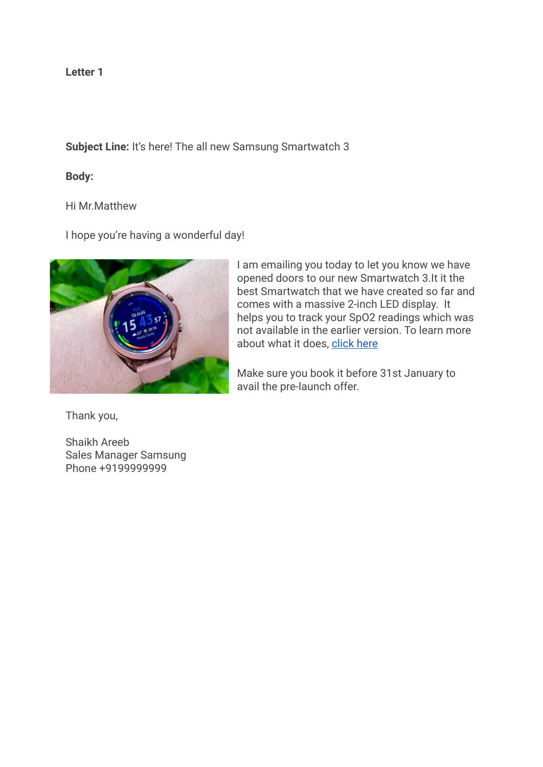# **Subject Line:** It's here! The all new Samsung Smartwatch 3

# **Body:**

## Hi Mr.Matthew

I hope you're having a wonderful day!



Thank you,

Shaikh Areeb Sales Manager Samsung Phone +9199999999

I am emailing you today to let you know we have opened doors to our new Smartwatch 3.It it the best Smartwatch that we have created so far and comes with a massive 2-inch LED display. It helps you to track your SpO2 readings which was not available in the earlier version. To learn more about what it does, [click here](https://www.google.com/search?q=samsung+watch+3&rlz=1C1PNBB_enIN989IN989&oq=samsung+watch&aqs=chrome.2.69i57j0i433i512l4j0i512l2j0i433i512j0i512l2.6083j0j9&sourceid=chrome&ie=UTF-8)

Make sure you book it before 31st January to avail the pre-launch offer.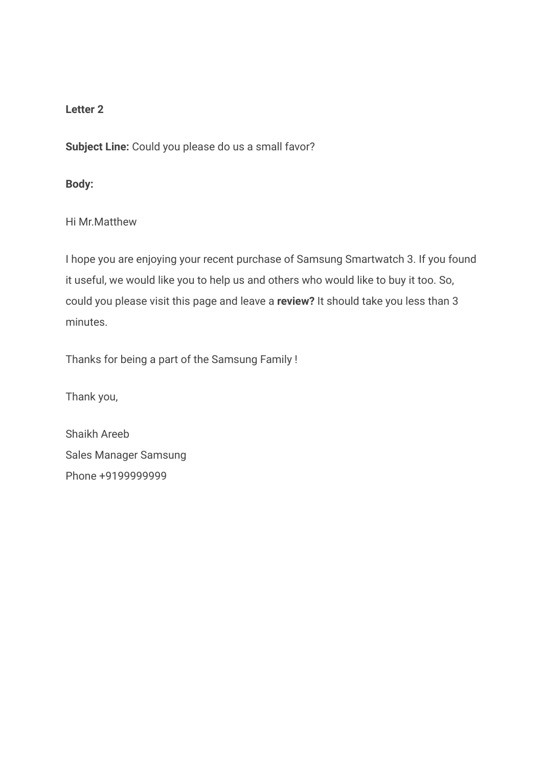**Subject Line:** Could you please do us a small favor?

**Body:**

Hi Mr.Matthew

I hope you are enjoying your recent purchase of Samsung Smartwatch 3. If you found it useful, we would like you to help us and others who would like to buy it too. So, could you please visit this page and leave a **review?** It should take you less than 3 minutes.

Thanks for being a part of the Samsung Family !

Thank you,

Shaikh Areeb Sales Manager Samsung Phone +9199999999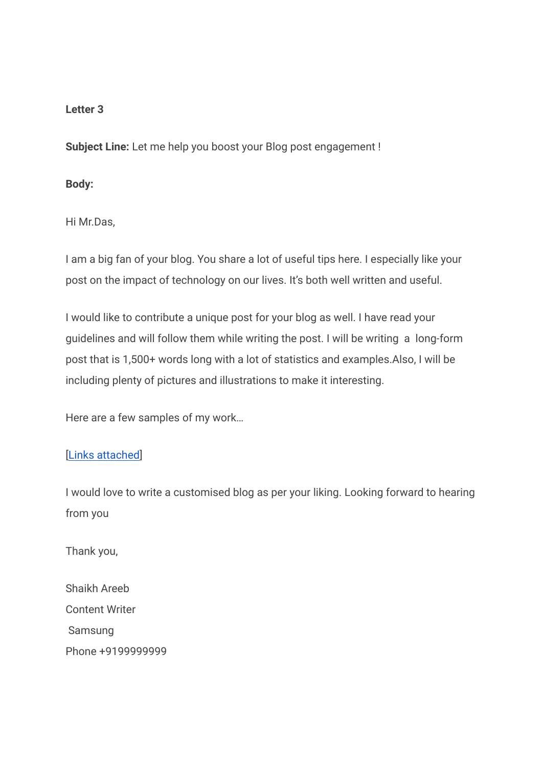**Subject Line:** Let me help you boost your Blog post engagement !

### **Body:**

Hi Mr.Das,

I am a big fan of your blog. You share a lot of useful tips here. I especially like your post on the impact of technology on our lives. It's both well written and useful.

I would like to contribute a unique post for your blog as well. I have read your guidelines and will follow them while writing the post. I will be writing a long-form post that is 1,500+ words long with a lot of statistics and examples.Also, I will be including plenty of pictures and illustrations to make it interesting.

Here are a few samples of my work…

## [\[Links attached](https://www.google.com/search?q=samsung+watch+3&rlz=1C1PNBB_enIN989IN989&oq=samsung+watch&aqs=chrome.2.69i57j0i433i512l4j0i512l2j0i433i512j0i512l2.6083j0j9&sourceid=chrome&ie=UTF-8)]

I would love to write a customised blog as per your liking. Looking forward to hearing from you

Thank you,

Shaikh Areeb Content Writer Samsung Phone +9199999999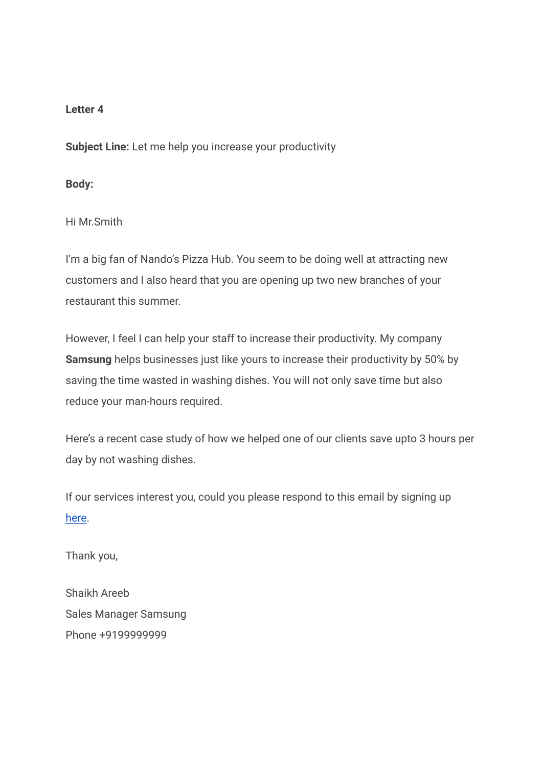**Subject Line:** Let me help you increase your productivity

### **Body:**

Hi Mr.Smith

I'm a big fan of Nando's Pizza Hub. You seem to be doing well at attracting new customers and I also heard that you are opening up two new branches of your restaurant this summer.

However, I feel I can help your staff to increase their productivity. My company **Samsung** helps businesses just like yours to increase their productivity by 50% by saving the time wasted in washing dishes. You will not only save time but also reduce your man-hours required.

Here's a recent case study of how we helped one of our clients save upto 3 hours per day by not washing dishes.

If our services interest you, could you please respond to this email by signing up [here](https://www.samsung.com/in/).

Thank you,

Shaikh Areeb Sales Manager Samsung Phone +9199999999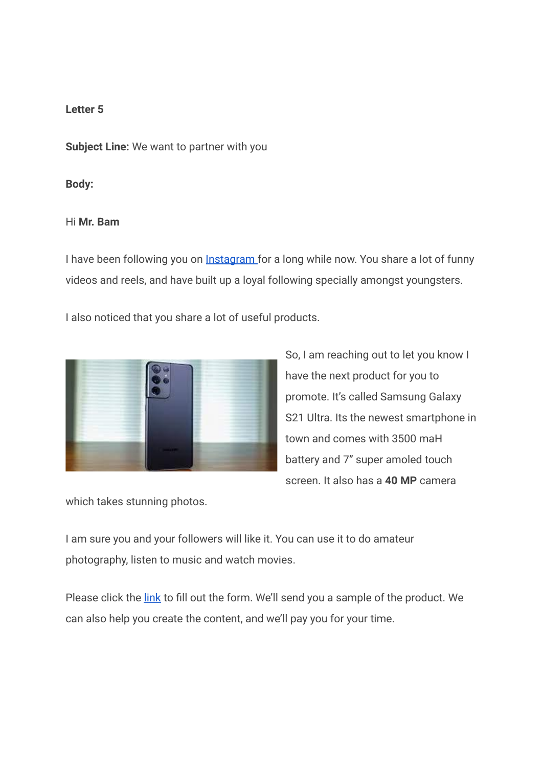**Subject Line:** We want to partner with you

#### **Body:**

### Hi **Mr. Bam**

I have been following you on **[Instagram](https://www.instagram.com/bhuvan.bam22/?hl=en)** for a long while now. You share a lot of funny videos and reels, and have built up a loyal following specially amongst youngsters.

I also noticed that you share a lot of useful products.



So, I am reaching out to let you know I have the next product for you to promote. It's called Samsung Galaxy S21 Ultra. Its the newest smartphone in town and comes with 3500 maH battery and 7" super amoled touch screen. It also has a **40 MP** camera

which takes stunning photos.

I am sure you and your followers will like it. You can use it to do amateur photography, listen to music and watch movies.

Please click the [link](https://www.google.com/search?q=samsung+watch+3&rlz=1C1PNBB_enIN989IN989&oq=samsung+watch&aqs=chrome.2.69i57j0i433i512l4j0i512l2j0i433i512j0i512l2.6083j0j9&sourceid=chrome&ie=UTF-8) to fill out the form. We'll send you a sample of the product. We can also help you create the content, and we'll pay you for your time.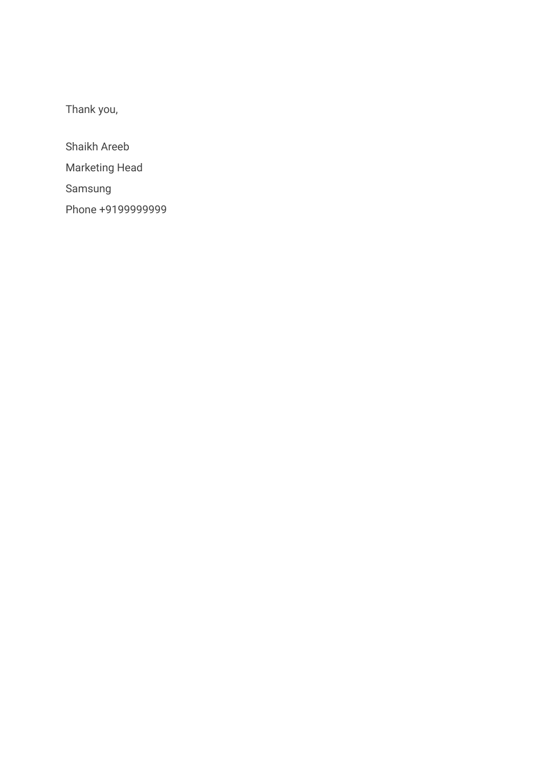Thank you,

Shaikh Areeb Marketing Head Samsung Phone +9199999999